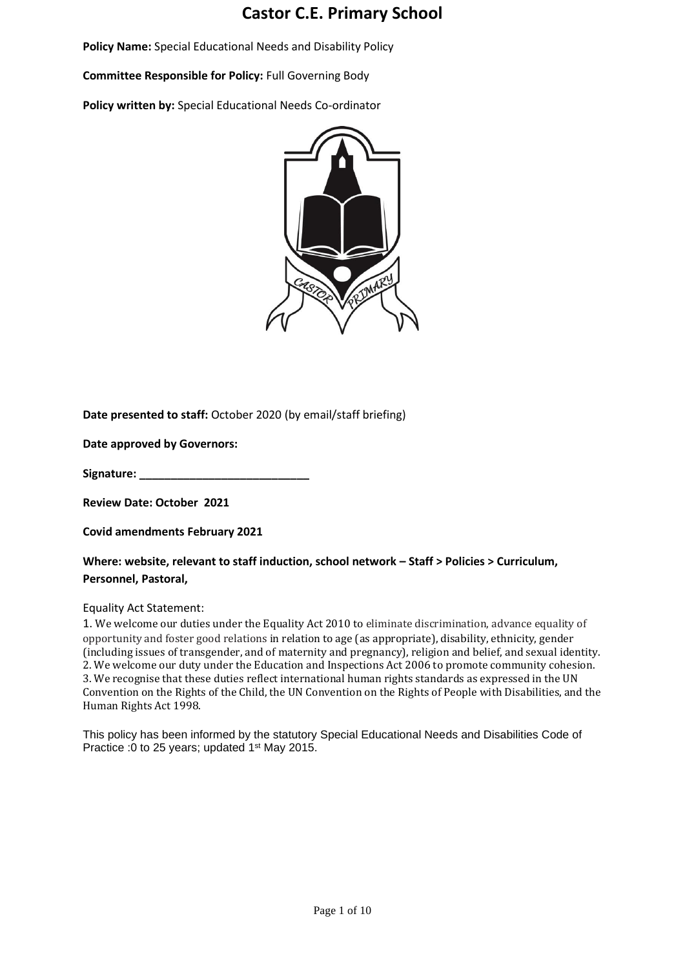# **Castor C.E. Primary School**

**Policy Name:** Special Educational Needs and Disability Policy

**Committee Responsible for Policy:** Full Governing Body

**Policy written by:** Special Educational Needs Co-ordinator



**Date presented to staff:** October 2020 (by email/staff briefing)

**Date approved by Governors:** 

**Signature: \_\_\_\_\_\_\_\_\_\_\_\_\_\_\_\_\_\_\_\_\_\_\_\_\_\_\_**

**Review Date: October 2021**

**Covid amendments February 2021**

**Where: website, relevant to staff induction, school network – Staff > Policies > Curriculum, Personnel, Pastoral,**

Equality Act Statement:

1. We welcome our duties under the Equality Act 2010 to eliminate discrimination, advance equality of opportunity and foster good relations in relation to age (as appropriate), disability, ethnicity, gender (including issues of transgender, and of maternity and pregnancy), religion and belief, and sexual identity. 2. We welcome our duty under the Education and Inspections Act 2006 to promote community cohesion. 3. We recognise that these duties reflect international human rights standards as expressed in the UN Convention on the Rights of the Child, the UN Convention on the Rights of People with Disabilities, and the Human Rights Act 1998.

This policy has been informed by the statutory Special Educational Needs and Disabilities Code of Practice : 0 to 25 years; updated 1<sup>st</sup> May 2015.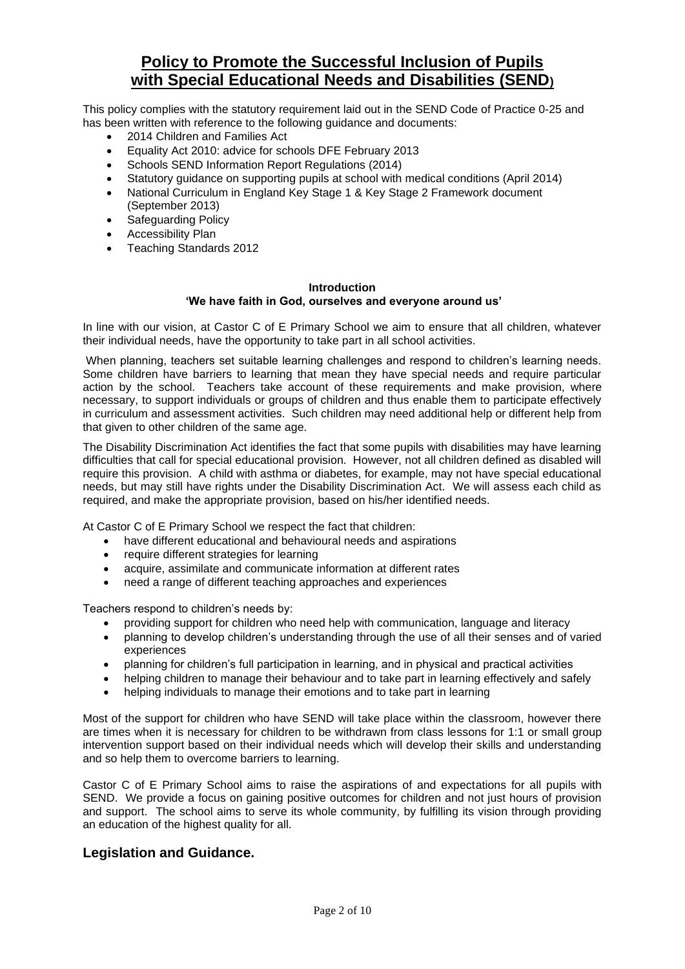# **Policy to Promote the Successful Inclusion of Pupils with Special Educational Needs and Disabilities (SEND)**

This policy complies with the statutory requirement laid out in the SEND Code of Practice 0-25 and has been written with reference to the following guidance and documents:

- 2014 Children and Families Act
- Equality Act 2010: advice for schools DFE February 2013
- Schools SEND Information Report Regulations (2014)
- Statutory guidance on supporting pupils at school with medical conditions (April 2014)
- National Curriculum in England Key Stage 1 & Key Stage 2 Framework document (September 2013)
- Safeguarding Policy
- Accessibility Plan
- Teaching Standards 2012

#### **Introduction 'We have faith in God, ourselves and everyone around us'**

In line with our vision, at Castor C of E Primary School we aim to ensure that all children, whatever their individual needs, have the opportunity to take part in all school activities.

When planning, teachers set suitable learning challenges and respond to children's learning needs. Some children have barriers to learning that mean they have special needs and require particular action by the school. Teachers take account of these requirements and make provision, where necessary, to support individuals or groups of children and thus enable them to participate effectively in curriculum and assessment activities. Such children may need additional help or different help from that given to other children of the same age.

The Disability Discrimination Act identifies the fact that some pupils with disabilities may have learning difficulties that call for special educational provision. However, not all children defined as disabled will require this provision. A child with asthma or diabetes, for example, may not have special educational needs, but may still have rights under the Disability Discrimination Act. We will assess each child as required, and make the appropriate provision, based on his/her identified needs.

At Castor C of E Primary School we respect the fact that children:

- have different educational and behavioural needs and aspirations
- require different strategies for learning
- acquire, assimilate and communicate information at different rates
- need a range of different teaching approaches and experiences

Teachers respond to children's needs by:

- providing support for children who need help with communication, language and literacy
- planning to develop children's understanding through the use of all their senses and of varied experiences
- planning for children's full participation in learning, and in physical and practical activities
- helping children to manage their behaviour and to take part in learning effectively and safely
- helping individuals to manage their emotions and to take part in learning

Most of the support for children who have SEND will take place within the classroom, however there are times when it is necessary for children to be withdrawn from class lessons for 1:1 or small group intervention support based on their individual needs which will develop their skills and understanding and so help them to overcome barriers to learning.

Castor C of E Primary School aims to raise the aspirations of and expectations for all pupils with SEND. We provide a focus on gaining positive outcomes for children and not just hours of provision and support. The school aims to serve its whole community, by fulfilling its vision through providing an education of the highest quality for all.

# **Legislation and Guidance.**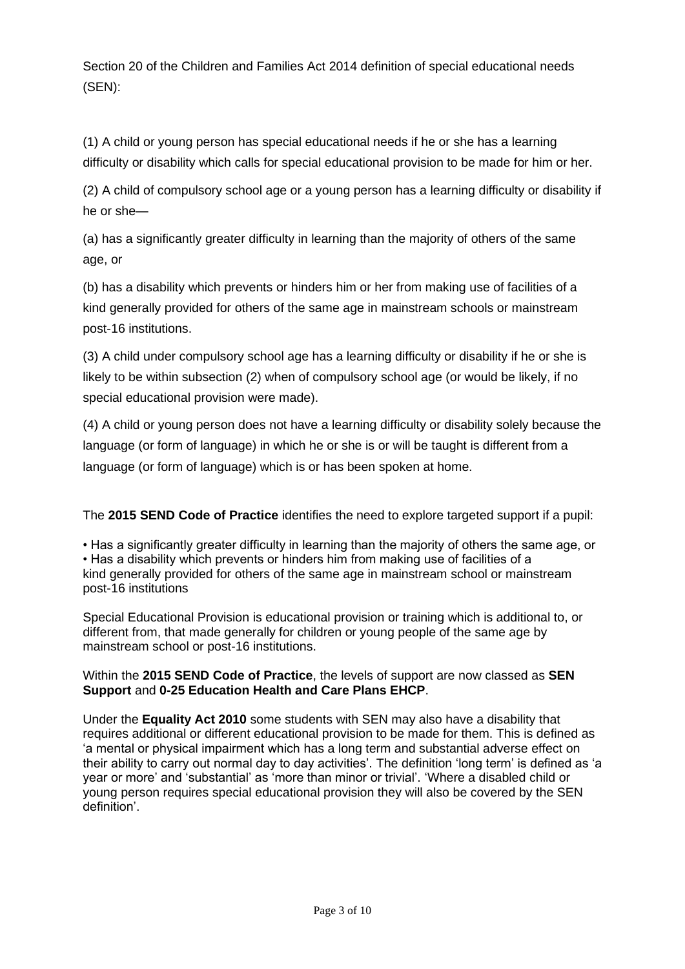Section 20 of the Children and Families Act 2014 definition of special educational needs (SEN):

(1) A child or young person has special educational needs if he or she has a learning difficulty or disability which calls for special educational provision to be made for him or her.

(2) A child of compulsory school age or a young person has a learning difficulty or disability if he or she—

(a) has a significantly greater difficulty in learning than the majority of others of the same age, or

(b) has a disability which prevents or hinders him or her from making use of facilities of a kind generally provided for others of the same age in mainstream schools or mainstream post-16 institutions.

(3) A child under compulsory school age has a learning difficulty or disability if he or she is likely to be within subsection (2) when of compulsory school age (or would be likely, if no special educational provision were made).

(4) A child or young person does not have a learning difficulty or disability solely because the language (or form of language) in which he or she is or will be taught is different from a language (or form of language) which is or has been spoken at home.

The **2015 SEND Code of Practice** identifies the need to explore targeted support if a pupil:

• Has a significantly greater difficulty in learning than the majority of others the same age, or • Has a disability which prevents or hinders him from making use of facilities of a kind generally provided for others of the same age in mainstream school or mainstream post-16 institutions

Special Educational Provision is educational provision or training which is additional to, or different from, that made generally for children or young people of the same age by mainstream school or post-16 institutions.

# Within the **2015 SEND Code of Practice**, the levels of support are now classed as **SEN Support** and **0-25 Education Health and Care Plans EHCP**.

Under the **Equality Act 2010** some students with SEN may also have a disability that requires additional or different educational provision to be made for them. This is defined as 'a mental or physical impairment which has a long term and substantial adverse effect on their ability to carry out normal day to day activities'. The definition 'long term' is defined as 'a year or more' and 'substantial' as 'more than minor or trivial'. 'Where a disabled child or young person requires special educational provision they will also be covered by the SEN definition'.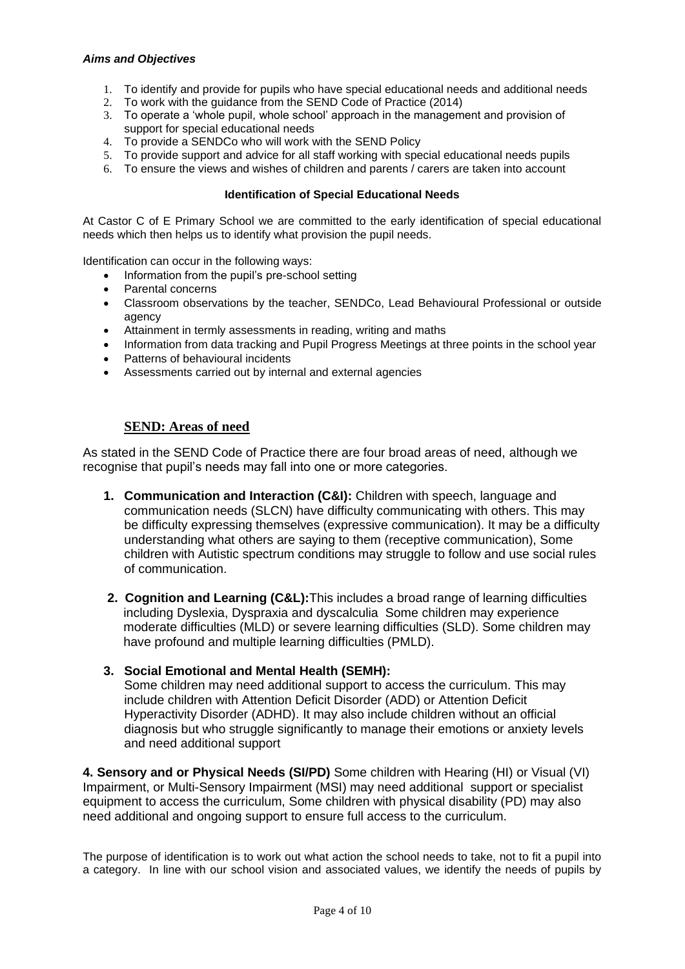# *Aims and Objectives*

- 1. To identify and provide for pupils who have special educational needs and additional needs
- 2. To work with the guidance from the SEND Code of Practice (2014)
- 3. To operate a 'whole pupil, whole school' approach in the management and provision of support for special educational needs
- 4. To provide a SENDCo who will work with the SEND Policy
- 5. To provide support and advice for all staff working with special educational needs pupils
- 6. To ensure the views and wishes of children and parents / carers are taken into account

## **Identification of Special Educational Needs**

At Castor C of E Primary School we are committed to the early identification of special educational needs which then helps us to identify what provision the pupil needs.

Identification can occur in the following ways:

- Information from the pupil's pre-school setting
- Parental concerns
- Classroom observations by the teacher, SENDCo, Lead Behavioural Professional or outside agency
- Attainment in termly assessments in reading, writing and maths
- Information from data tracking and Pupil Progress Meetings at three points in the school year
- Patterns of behavioural incidents
- Assessments carried out by internal and external agencies

# **SEND: Areas of need**

As stated in the SEND Code of Practice there are four broad areas of need, although we recognise that pupil's needs may fall into one or more categories.

- **1. Communication and Interaction (C&I):** Children with speech, language and communication needs (SLCN) have difficulty communicating with others. This may be difficulty expressing themselves (expressive communication). It may be a difficulty understanding what others are saying to them (receptive communication), Some children with Autistic spectrum conditions may struggle to follow and use social rules of communication.
- **2. Cognition and Learning (C&L):**This includes a broad range of learning difficulties including Dyslexia, Dyspraxia and dyscalculia Some children may experience moderate difficulties (MLD) or severe learning difficulties (SLD). Some children may have profound and multiple learning difficulties (PMLD).

# **3. Social Emotional and Mental Health (SEMH):**

Some children may need additional support to access the curriculum. This may include children with Attention Deficit Disorder (ADD) or Attention Deficit Hyperactivity Disorder (ADHD). It may also include children without an official diagnosis but who struggle significantly to manage their emotions or anxiety levels and need additional support

**4. Sensory and or Physical Needs (SI/PD)** Some children with Hearing (HI) or Visual (VI) Impairment, or Multi-Sensory Impairment (MSI) may need additional support or specialist equipment to access the curriculum, Some children with physical disability (PD) may also need additional and ongoing support to ensure full access to the curriculum.

The purpose of identification is to work out what action the school needs to take, not to fit a pupil into a category. In line with our school vision and associated values, we identify the needs of pupils by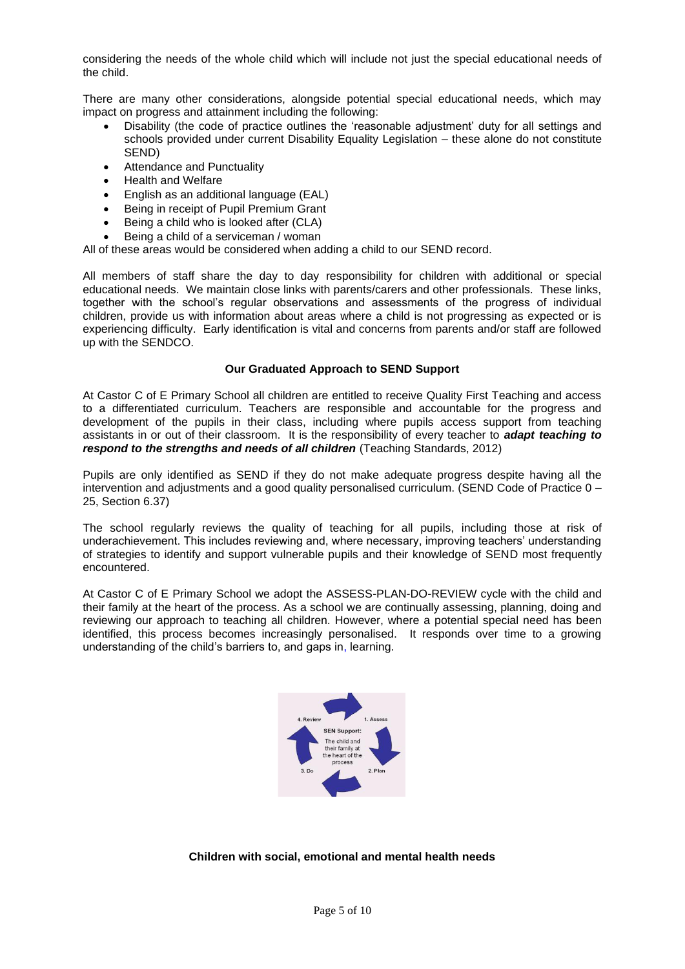considering the needs of the whole child which will include not just the special educational needs of the child.

There are many other considerations, alongside potential special educational needs, which may impact on progress and attainment including the following:

- Disability (the code of practice outlines the 'reasonable adjustment' duty for all settings and schools provided under current Disability Equality Legislation – these alone do not constitute SEND)
- Attendance and Punctuality
- Health and Welfare
- English as an additional language (EAL)
- Being in receipt of Pupil Premium Grant
- Being a child who is looked after (CLA)
- Being a child of a serviceman / woman

All of these areas would be considered when adding a child to our SEND record.

All members of staff share the day to day responsibility for children with additional or special educational needs. We maintain close links with parents/carers and other professionals. These links, together with the school's regular observations and assessments of the progress of individual children, provide us with information about areas where a child is not progressing as expected or is experiencing difficulty. Early identification is vital and concerns from parents and/or staff are followed up with the SENDCO.

### **Our Graduated Approach to SEND Support**

At Castor C of E Primary School all children are entitled to receive Quality First Teaching and access to a differentiated curriculum. Teachers are responsible and accountable for the progress and development of the pupils in their class, including where pupils access support from teaching assistants in or out of their classroom. It is the responsibility of every teacher to *adapt teaching to respond to the strengths and needs of all children (Teaching Standards, 2012)* 

Pupils are only identified as SEND if they do not make adequate progress despite having all the intervention and adjustments and a good quality personalised curriculum. (SEND Code of Practice 0 – 25, Section 6.37)

The school regularly reviews the quality of teaching for all pupils, including those at risk of underachievement. This includes reviewing and, where necessary, improving teachers' understanding of strategies to identify and support vulnerable pupils and their knowledge of SEND most frequently encountered.

At Castor C of E Primary School we adopt the ASSESS-PLAN-DO-REVIEW cycle with the child and their family at the heart of the process. As a school we are continually assessing, planning, doing and reviewing our approach to teaching all children. However, where a potential special need has been identified, this process becomes increasingly personalised. It responds over time to a growing understanding of the child's barriers to, and gaps in, learning.



### **Children with social, emotional and mental health needs**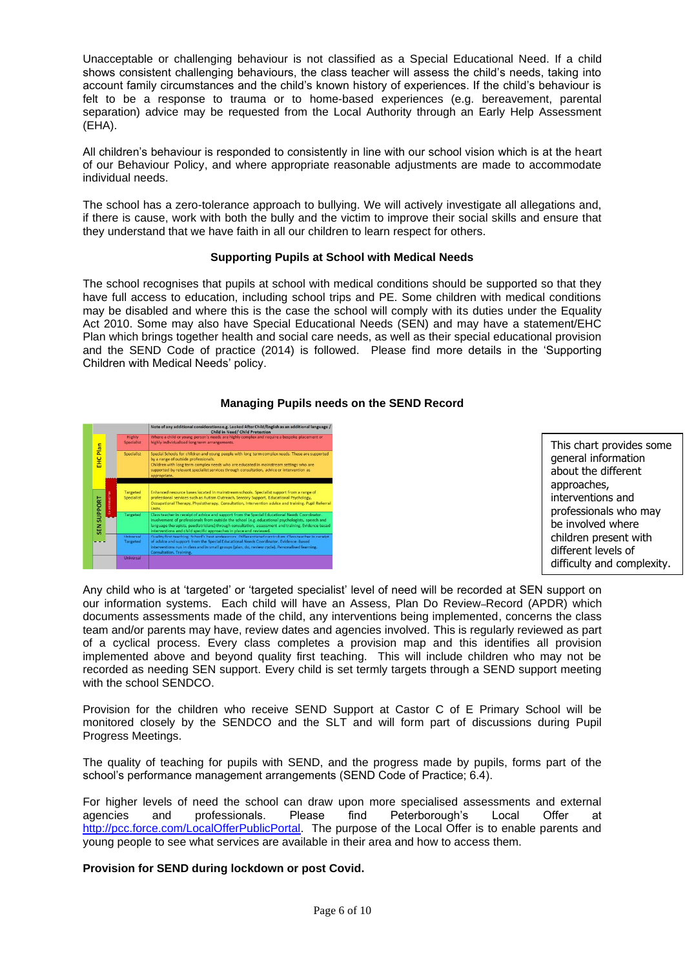Unacceptable or challenging behaviour is not classified as a Special Educational Need. If a child shows consistent challenging behaviours, the class teacher will assess the child's needs, taking into account family circumstances and the child's known history of experiences. If the child's behaviour is felt to be a response to trauma or to home-based experiences (e.g. bereavement, parental separation) advice may be requested from the Local Authority through an Early Help Assessment (EHA).

All children's behaviour is responded to consistently in line with our school vision which is at the heart of our Behaviour Policy, and where appropriate reasonable adjustments are made to accommodate individual needs.

The school has a zero-tolerance approach to bullying. We will actively investigate all allegations and, if there is cause, work with both the bully and the victim to improve their social skills and ensure that they understand that we have faith in all our children to learn respect for others.

## **Supporting Pupils at School with Medical Needs**

The school recognises that pupils at school with medical conditions should be supported so that they have full access to education, including school trips and PE. Some children with medical conditions may be disabled and where this is the case the school will comply with its duties under the Equality Act 2010. Some may also have Special Educational Needs (SEN) and may have a statement/EHC Plan which brings together health and social care needs, as well as their special educational provision and the SEND Code of practice (2014) is followed. Please find more details in the 'Supporting Children with Medical Needs' policy.

# **Managing Pupils needs on the SEND Record**



This chart provides some general information about the different approaches, interventions and professionals who may be involved where children present with different levels of difficulty and complexity.

Any child who is at 'targeted' or 'targeted specialist' level of need will be recorded at SEN support on our information systems. Each child will have an Assess, Plan Do Review-Record (APDR) which documents assessments made of the child, any interventions being implemented, concerns the class team and/or parents may have, review dates and agencies involved. This is regularly reviewed as part of a cyclical process. Every class completes a provision map and this identifies all provision implemented above and beyond quality first teaching. This will include children who may not be recorded as needing SEN support. Every child is set termly targets through a SEND support meeting with the school SENDCO.

Provision for the children who receive SEND Support at Castor C of E Primary School will be monitored closely by the SENDCO and the SLT and will form part of discussions during Pupil Progress Meetings.

The quality of teaching for pupils with SEND, and the progress made by pupils, forms part of the school's performance management arrangements (SEND Code of Practice; 6.4).

For higher levels of need the school can draw upon more specialised assessments and external agencies and professionals. Please find Peterborough's Local Offer at [http://pcc.force.com/LocalOfferPublicPortal.](http://pcc.force.com/LocalOfferPublicPortal) The purpose of the Local Offer is to enable parents and young people to see what services are available in their area and how to access them.

**Provision for SEND during lockdown or post Covid.**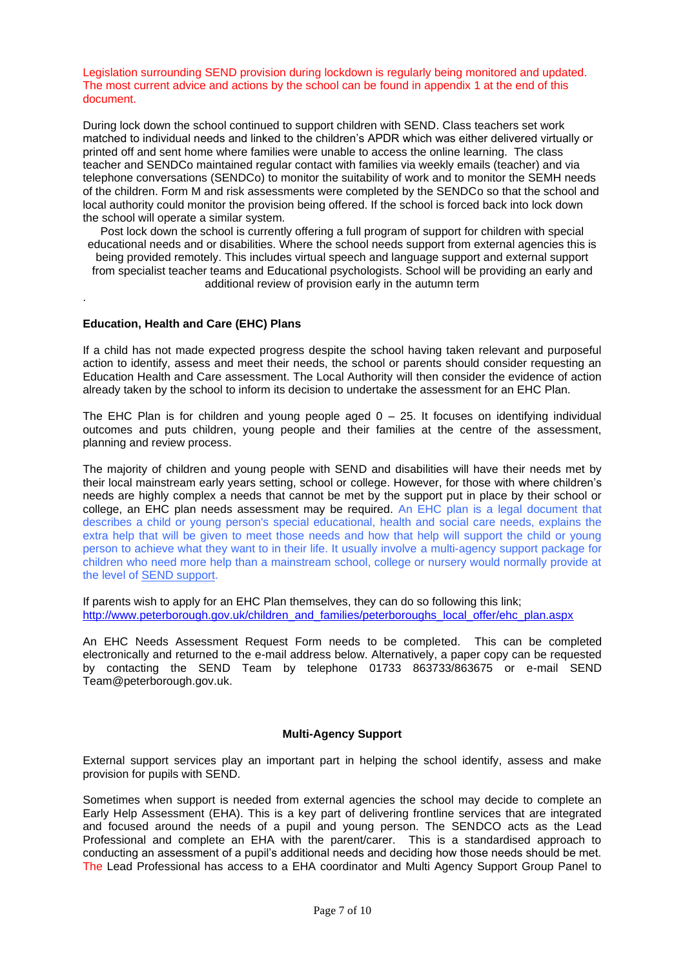Legislation surrounding SEND provision during lockdown is regularly being monitored and updated. The most current advice and actions by the school can be found in appendix 1 at the end of this document.

During lock down the school continued to support children with SEND. Class teachers set work matched to individual needs and linked to the children's APDR which was either delivered virtually or printed off and sent home where families were unable to access the online learning. The class teacher and SENDCo maintained regular contact with families via weekly emails (teacher) and via telephone conversations (SENDCo) to monitor the suitability of work and to monitor the SEMH needs of the children. Form M and risk assessments were completed by the SENDCo so that the school and local authority could monitor the provision being offered. If the school is forced back into lock down the school will operate a similar system.

Post lock down the school is currently offering a full program of support for children with special educational needs and or disabilities. Where the school needs support from external agencies this is being provided remotely. This includes virtual speech and language support and external support from specialist teacher teams and Educational psychologists. School will be providing an early and additional review of provision early in the autumn term

### **Education, Health and Care (EHC) Plans**

.

If a child has not made expected progress despite the school having taken relevant and purposeful action to identify, assess and meet their needs, the school or parents should consider requesting an Education Health and Care assessment. The Local Authority will then consider the evidence of action already taken by the school to inform its decision to undertake the assessment for an EHC Plan.

The EHC Plan is for children and young people aged  $0 - 25$ . It focuses on identifying individual outcomes and puts children, young people and their families at the centre of the assessment, planning and review process.

The majority of children and young people with SEND and disabilities will have their needs met by their local mainstream early years setting, school or college. However, for those with where children's needs are highly complex a needs that cannot be met by the support put in place by their school or college, an EHC plan needs assessment may be required. An EHC plan is a legal document that describes a child or young person's special educational, health and social care needs, explains the extra help that will be given to meet those needs and how that help will support the child or young person to achieve what they want to in their life. It usually involve a multi-agency support package for children who need more help than a mainstream school, college or nursery would normally provide at the level of SEND [support.](https://contact.org.uk/advice-and-support/education-learning/extra-support-in-mainstream-schools/)

If parents wish to apply for an EHC Plan themselves, they can do so following this link; [http://www.peterborough.gov.uk/children\\_and\\_families/peterboroughs\\_local\\_offer/ehc\\_plan.aspx](http://www.peterborough.gov.uk/children_and_families/peterboroughs_local_offer/ehc_plan.aspx)

An EHC Needs Assessment Request Form needs to be completed. This can be completed electronically and returned to the e-mail address below. Alternatively, a paper copy can be requested by contacting the SEND Team by telephone 01733 863733/863675 or e-mail SEND Team@peterborough.gov.uk.

### **Multi-Agency Support**

External support services play an important part in helping the school identify, assess and make provision for pupils with SEND.

Sometimes when support is needed from external agencies the school may decide to complete an Early Help Assessment (EHA). This is a key part of delivering frontline services that are integrated and focused around the needs of a pupil and young person. The SENDCO acts as the Lead Professional and complete an EHA with the parent/carer. This is a standardised approach to conducting an assessment of a pupil's additional needs and deciding how those needs should be met. The Lead Professional has access to a EHA coordinator and Multi Agency Support Group Panel to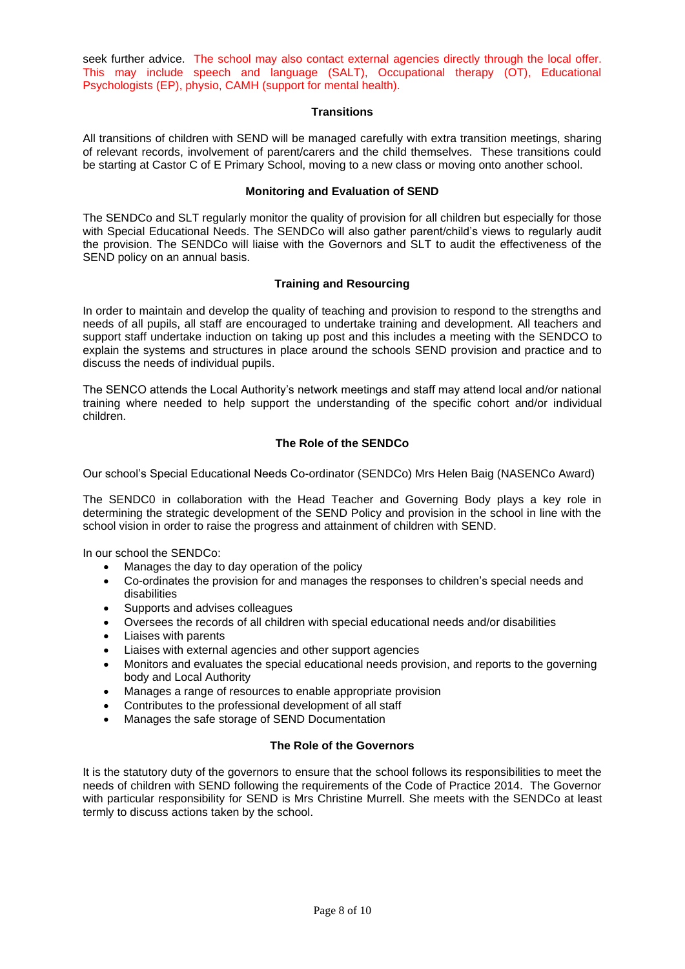seek further advice. The school may also contact external agencies directly through the local offer. This may include speech and language (SALT), Occupational therapy (OT), Educational Psychologists (EP), physio, CAMH (support for mental health).

## **Transitions**

All transitions of children with SEND will be managed carefully with extra transition meetings, sharing of relevant records, involvement of parent/carers and the child themselves. These transitions could be starting at Castor C of E Primary School, moving to a new class or moving onto another school.

# **Monitoring and Evaluation of SEND**

The SENDCo and SLT regularly monitor the quality of provision for all children but especially for those with Special Educational Needs. The SENDCo will also gather parent/child's views to regularly audit the provision. The SENDCo will liaise with the Governors and SLT to audit the effectiveness of the SEND policy on an annual basis.

## **Training and Resourcing**

In order to maintain and develop the quality of teaching and provision to respond to the strengths and needs of all pupils, all staff are encouraged to undertake training and development. All teachers and support staff undertake induction on taking up post and this includes a meeting with the SENDCO to explain the systems and structures in place around the schools SEND provision and practice and to discuss the needs of individual pupils.

The SENCO attends the Local Authority's network meetings and staff may attend local and/or national training where needed to help support the understanding of the specific cohort and/or individual children.

# **The Role of the SENDCo**

Our school's Special Educational Needs Co-ordinator (SENDCo) Mrs Helen Baig (NASENCo Award)

The SENDC0 in collaboration with the Head Teacher and Governing Body plays a key role in determining the strategic development of the SEND Policy and provision in the school in line with the school vision in order to raise the progress and attainment of children with SEND.

In our school the SENDCo:

- Manages the day to day operation of the policy
- Co-ordinates the provision for and manages the responses to children's special needs and disabilities
- Supports and advises colleagues
- Oversees the records of all children with special educational needs and/or disabilities
- Liaises with parents
- Liaises with external agencies and other support agencies
- Monitors and evaluates the special educational needs provision, and reports to the governing body and Local Authority
- Manages a range of resources to enable appropriate provision
- Contributes to the professional development of all staff
- Manages the safe storage of SEND Documentation

# **The Role of the Governors**

It is the statutory duty of the governors to ensure that the school follows its responsibilities to meet the needs of children with SEND following the requirements of the Code of Practice 2014. The Governor with particular responsibility for SEND is Mrs Christine Murrell. She meets with the SENDCo at least termly to discuss actions taken by the school.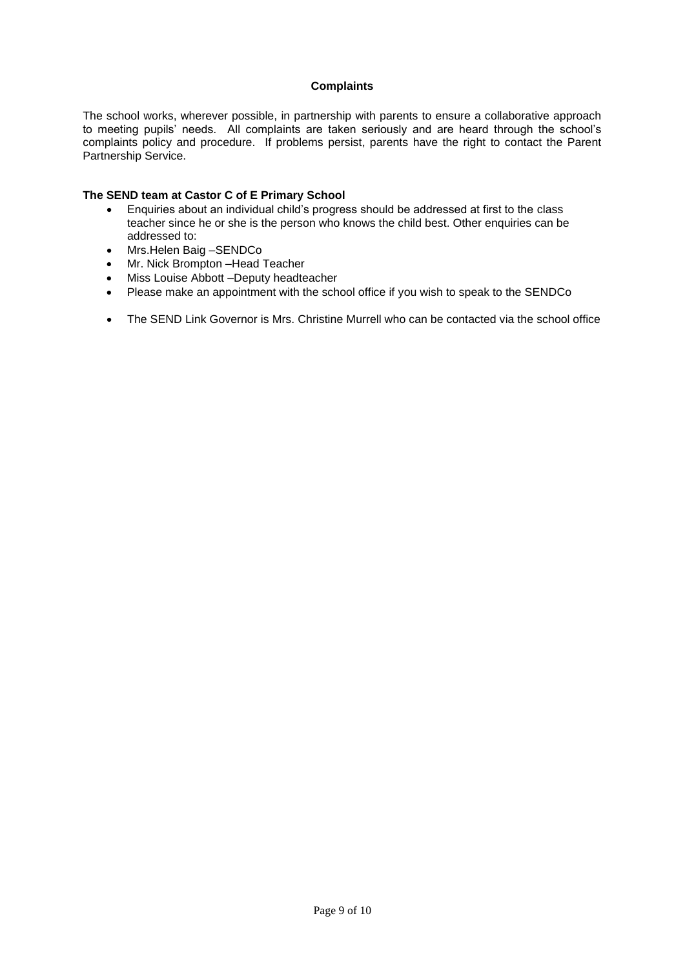# **Complaints**

The school works, wherever possible, in partnership with parents to ensure a collaborative approach to meeting pupils' needs. All complaints are taken seriously and are heard through the school's complaints policy and procedure. If problems persist, parents have the right to contact the Parent Partnership Service.

## **The SEND team at Castor C of E Primary School**

- Enquiries about an individual child's progress should be addressed at first to the class teacher since he or she is the person who knows the child best. Other enquiries can be addressed to:
- Mrs.Helen Baig –SENDCo
- Mr. Nick Brompton –Head Teacher
- Miss Louise Abbott –Deputy headteacher
- Please make an appointment with the school office if you wish to speak to the SENDCo
- The SEND Link Governor is Mrs. Christine Murrell who can be contacted via the school office